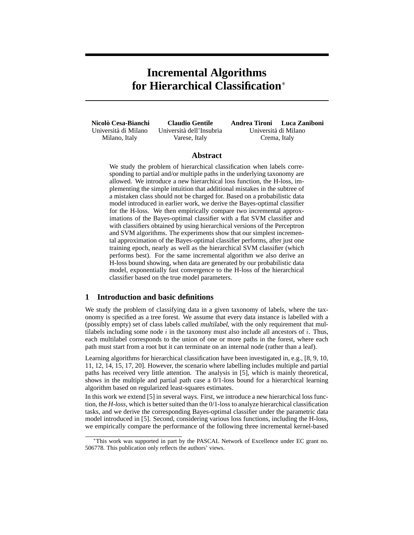# **Incremental Algorithms for Hierarchical Classification**<sup>∗</sup>

**Nicolo Cesa-Bianchi `** Universita di Milano ` Milano, Italy

**Claudio Gentile** Universita dell'Insubria ` Varese, Italy

**Andrea Tironi Luca Zaniboni** Universita di Milano ` Crema, Italy

# **Abstract**

We study the problem of hierarchical classification when labels corresponding to partial and/or multiple paths in the underlying taxonomy are allowed. We introduce a new hierarchical loss function, the H-loss, implementing the simple intuition that additional mistakes in the subtree of a mistaken class should not be charged for. Based on a probabilistic data model introduced in earlier work, we derive the Bayes-optimal classifier for the H-loss. We then empirically compare two incremental approximations of the Bayes-optimal classifier with a flat SVM classifier and with classifiers obtained by using hierarchical versions of the Perceptron and SVM algorithms. The experiments show that our simplest incremental approximation of the Bayes-optimal classifier performs, after just one training epoch, nearly as well as the hierarchical SVM classifier (which performs best). For the same incremental algorithm we also derive an H-loss bound showing, when data are generated by our probabilistic data model, exponentially fast convergence to the H-loss of the hierarchical classifier based on the true model parameters.

## **1 Introduction and basic definitions**

We study the problem of classifying data in a given taxonomy of labels, where the taxonomy is specified as a tree forest. We assume that every data instance is labelled with a (possibly empty) set of class labels called multilabel, with the only requirement that multilabels including some node i in the taxonony must also include all ancestors of i. Thus, each multilabel corresponds to the union of one or more paths in the forest, where each path must start from a root but it can terminate on an internal node (rather than a leaf).

Learning algorithms for hierarchical classification have been investigated in, e.g., [8, 9, 10, 11, 12, 14, 15, 17, 20]. However, the scenario where labelling includes multiple and partial paths has received very little attention. The analysis in [5], which is mainly theoretical, shows in the multiple and partial path case a 0/1-loss bound for a hierarchical learning algorithm based on regularized least-squares estimates.

In this work we extend [5] in several ways. First, we introduce a new hierarchical loss function, the *H-loss*, which is better suited than the 0/1-loss to analyze hierarchical classification tasks, and we derive the corresponding Bayes-optimal classifier under the parametric data model introduced in [5]. Second, considering various loss functions, including the H-loss, we empirically compare the performance of the following three incremental kernel-based

<sup>∗</sup>This work was supported in part by the PASCAL Network of Excellence under EC grant no. 506778. This publication only reflects the authors' views.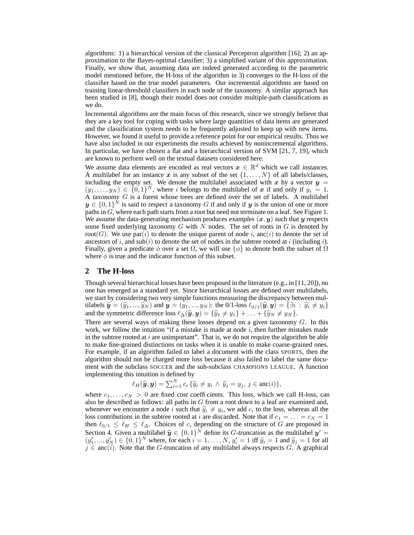algorithms: 1) a hierarchical version of the classical Perceptron algorithm [16]; 2) an approximation to the Bayes-optimal classifier; 3) a simplified variant of this approximation. Finally, we show that, assuming data are indeed generated according to the parametric model mentioned before, the H-loss of the algorithm in 3) converges to the H-loss of the classifier based on the true model parameters. Our incremental algorithms are based on training linear-threshold classifiers in each node of the taxonomy. A similar approach has been studied in [8], though their model does not consider multiple-path classifications as we do.

Incremental algorithms are the main focus of this research, since we strongly believe that they are a key tool for coping with tasks where large quantities of data items are generated and the classification system needs to be frequently adjusted to keep up with new items. However, we found it useful to provide a reference point for our empirical results. Thus we have also included in our experiments the results achieved by nonincremental algorithms. In particular, we have chosen a flat and a hierarchical version of SVM [21, 7, 19], which are known to perform well on the textual datasets considered here.

We assume data elements are encoded as real vectors  $x \in \mathbb{R}^d$  which we call instances. A multilabel for an instance x is any subset of the set  $\{1, \ldots, N\}$  of all labels/classes, including the empty set. We denote the multilabel associated with x by a vector  $y =$  $(y_1, \ldots, y_N) \in \{0,1\}^N$ , where i belongs to the multilabel of x if and only if  $y_i = 1$ . A taxonomy  $G$  is a forest whose trees are defined over the set of labels. A multilabel  $y \in \{0,1\}^N$  is said to respect a taxonomy G if and only if  $y$  is the union of one or more paths in  $G$ , where each path starts from a root but need not terminate on a leaf. See Figure 1. We assume the data-generating mechanism produces examples  $(x, y)$  such that y respects some fixed underlying taxonomy  $G$  with  $N$  nodes. The set of roots in  $G$  is denoted by root(G). We use par(i) to denote the unique parent of node i, anc(i) to denote the set of ancestors of i, and sub(i) to denote the set of nodes in the subtree rooted at i (including i). Finally, given a predicate  $\phi$  over a set  $\Omega$ , we will use  $\{\phi\}$  to denote both the subset of  $\Omega$ where  $\phi$  is true and the indicator function of this subset.

#### **2 The H-loss**

Though several hierarchical losses have been proposed in the literature (e.g., in [11, 20]), no one has emerged as a standard yet. Since hierarchical losses are defined over multilabels, we start by considering two very simple functions measuring the discrepancy between multilabels  $\hat{\mathbf{y}} = (\hat{y}_1, ..., \hat{y}_N)$  and  $\mathbf{y} = (y_1, ..., y_N)$ : the 0/1-loss  $\ell_{0/1}(\hat{\mathbf{y}}, \mathbf{y}) = {\exists i : \hat{y}_i \neq y_i}$ and the symmetric difference loss  $\ell_{\Delta}(\hat{\mathbf{y}}, \mathbf{y}) = {\hat{y}_1 \neq y_1} + ... + {\hat{y}_N \neq y_N}$ .

There are several ways of making these losses depend on a given taxonomy  $G$ . In this work, we follow the intuition "if a mistake is made at node  $i$ , then further mistakes made in the subtree rooted at  $i$  are unimportant". That is, we do not require the algorithm be able to make fine-grained distinctions on tasks when it is unable to make coarse-grained ones. For example, if an algorithm failed to label a document with the class SPORTS, then the algorithm should not be charged more loss because it also failed to label the same document with the subclass SOCCER and the sub-subclass CHAMPIONS LEAGUE. A function implementing this intuition is defined by

$$
\ell_H(\widehat{\boldsymbol{y}},\boldsymbol{y})=\sum_{i=1}^N c_i \left\{\widehat{y}_i\neq y_i \wedge \widehat{y}_j=y_j, \, j\in \text{anc}(i)\right\},\
$$

where  $c_1, \ldots, c_N > 0$  are fixed cost coefficients. This loss, which we call H-loss, can also be described as follows: all paths in  $G$  from a root down to a leaf are examined and, whenever we encounter a node i such that  $\hat{y}_i \neq y_i$ , we add  $c_i$  to the loss, whereas all the loss contributions in the subtree rooted at i are discorded. Note that if  $c = -\frac{1}{2}$ loss contributions in the subtree rooted at i are discarded. Note that if  $c_1 = \ldots = c_N = 1$ then  $\ell_{0/1} \leq \ell_H \leq \ell_{\Delta}$ . Choices of  $c_i$  depending on the structure of G are proposed in Section 4. Given a multilabel  $\hat{y} \in \{0, 1\}^N$  define its G-truncation as the multilabel  $y' = (y' - y') \in [0, 1]^N$  where for seek  $j = 1$ ,  $N, y' = 1$  iff  $\hat{y} = 1$  and  $\hat{y} = 1$  for all  $(y'_1, ..., y'_N) \in \{0, 1\}^N$  where, for each  $i = 1, ..., N$ ,  $y'_i = 1$  iff  $\hat{y}_i = 1$  and  $\hat{y}_j = 1$  for all  $j \in \text{anc}(i)$ . Note that the G-truncation of any multilabel always respects G. A graphical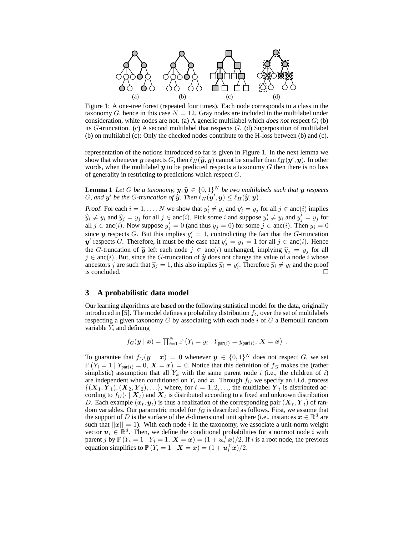

Figure 1: A one-tree forest (repeated four times). Each node corresponds to a class in the taxonomy G, hence in this case  $N = 12$ . Gray nodes are included in the multilabel under consideration, white nodes are not. (a) A generic multilabel which *does not* respect G; (b) its G-truncation. (c) A second multilabel that respects  $G$ . (d) Superposition of multilabel (b) on multilabel (c): Only the checked nodes contribute to the H-loss between (b) and (c).

representation of the notions introduced so far is given in Figure 1. In the next lemma we show that whenever y respects G, then  $\ell_H(\hat{y}, y)$  cannot be smaller than  $\ell_H(y', y)$ . In other words, when the multilabel  $y$  to be predicted respects a taxonomy  $G$  then there is no loss of generality in restricting to predictions which respect G.

**Lemma 1** Let G be a taxonomy,  $y$ ,  $\hat{y} \in \{0, 1\}^N$  be two multilabels such that y respects  $C$  and  $y'$  be the  $C$  trungation of  $\hat{y}$ . Than  $\ell$  (or a)  $\leq \ell$  ( $\hat{y}$  a)) G, and  $y'$  be the G-truncation of  $\hat{y}$ . Then  $\ell_H(\hat{y}', y) \leq \ell_H(\hat{y}, y)$  .

Proof. For each  $i = 1, ..., N$  we show that  $y'_i \neq y_i$  and  $y'_j = y_j$  for all  $j \in \text{anc}(i)$  implies  $\widehat{y}_i \neq y_i$  and  $\widehat{y}_j = y_j$  for all  $j \in \text{anc}(i)$ . Pick some i and suppose  $y'_i \neq y_i$  and  $y'_j = y_j$  for all  $j \in \text{anc}(i)$ . Now suppose  $y'_j = 0$  (and thus  $y_j = 0$ ) for some  $j \in \text{anc}(i)$ . Then  $y_i = 0$ since y respects G. But this implies  $y_i' = 1$ , contradicting the fact that the G-truncation y' respects G. Therefore, it must be the case that  $y'_j = y_j = 1$  for all  $j \in \text{anc}(i)$ . Hence the G-truncation of  $\hat{y}$  left each node  $j \in \text{anc}(i)$  unchanged, implying  $\hat{y}_i = y_j$  for all  $j \in \text{anc}(i)$ . But, since the G-truncation of  $\hat{y}$  does not change the value of a node i whose ancestors  $j$  are such that  $\hat{y}_j = 1$ , this also implies  $\hat{y}_i = y'_i$ . Therefore  $\hat{y}_i \neq y_i$  and the proof is concluded.

### **3 A probabilistic data model**

Our learning algorithms are based on the following statistical model for the data, originally introduced in [5]. The model defines a probability distribution  $f_G$  over the set of multilabels respecting a given taxonomy  $G$  by associating with each node  $i$  of  $G$  a Bernoulli random variable  $Y_i$  and defining

$$
f_G(\boldsymbol{y} \mid \boldsymbol{x}) = \prod_{i=1}^N \mathbb{P}\left(Y_i = y_i \mid Y_{\text{par}(i)} = y_{\text{par}(i)}, \boldsymbol{X} = \boldsymbol{x}\right) \ .
$$

To guarantee that  $f_G(\boldsymbol{y} \mid \boldsymbol{x}) = 0$  whenever  $\boldsymbol{y} \in \{0,1\}^N$  does not respect G, we set  $\mathbb{P}\left(Y_i = 1 \mid Y_{\text{par}(i)} = 0, \, \mathbf{X} = \mathbf{x}\right) = 0.$  Notice that this definition of  $f_G$  makes the (rather simplistic) assumption that all  $Y_k$  with the same parent node i (i.e., the children of i) are independent when conditioned on  $Y_i$  and  $x$ . Through  $f_G$  we specify an i.i.d. process  $\{(\boldsymbol{X}_1, \boldsymbol{Y}_1),(\boldsymbol{X}_2, \boldsymbol{Y}_2), \ldots\}$ , where, for  $t = 1, 2, \ldots$ , the multilabel  $\boldsymbol{Y}_t$  is distributed according to  $f_G(\cdot | X_t)$  and  $X_t$  is distributed according to a fixed and unknown distribution D. Each example  $(x_t, y_t)$  is thus a realization of the corresponding pair  $(X_t, Y_t)$  of random variables. Our parametric model for  $f_G$  is described as follows. First, we assume that the support of D is the surface of the d-dimensional unit sphere (i.e., instances  $x \in \mathbb{R}^d$  are such that  $||x|| = 1$ ). With each node i in the taxonomy, we associate a unit-norm weight vector  $u_i \in \mathbb{R}^d$ . Then, we define the conditional probabilities for a nonroot node i with parent j by  $\mathbb{P}(Y_i = 1 | Y_j = 1, \mathbf{X} = \mathbf{x}) = (1 + \mathbf{u}_i^{\top} \mathbf{x})/2$ . If i is a root node, the previous equation simplifies to  $\mathbb{P}\left(Y_i = 1 \mid \boldsymbol{X} = \boldsymbol{x}\right) = (1 + \boldsymbol{u}_i^\top \boldsymbol{x})/2.$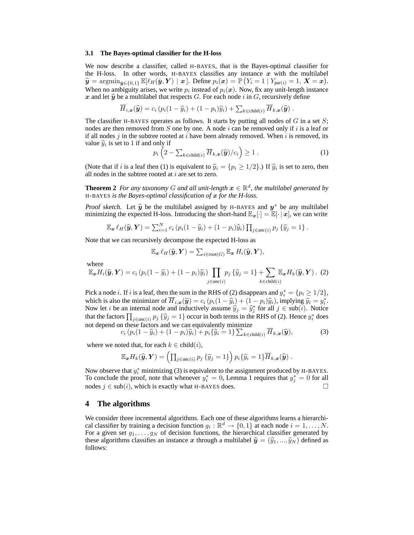#### **3.1 The Bayes-optimal classifier for the H-loss**

We now describe a classifier, called H-BAYES, that is the Bayes-optimal classifier for the H-loss. In other words, H-BAYES classifies any instance  $x$  with the multilabel  $\hat{\mathbf{y}} = \operatorname{argmin}_{\bar{\mathbf{y}} \in \{0,1\}} \mathbb{E}[\ell_H(\bar{\mathbf{y}}, \mathbf{Y}) | \mathbf{x}]$ . Define  $p_i(\mathbf{x}) = \mathbb{P}(Y_i = 1 | Y_{\text{par}(i)} = 1, \mathbf{X} = \mathbf{x})$ . When no ambiguity arises, we write  $p_i$  instead of  $p_i(x)$ . Now, fix any unit-length instance x and let  $\hat{y}$  be a multilabel that respects G. For each node i in G, recursively define

$$
\overline{H}_{i,\boldsymbol{x}}(\widehat{\boldsymbol{y}})=c_i\left(p_i(1-\widehat{y}_i)+(1-p_i)\widehat{y}_i\right)+\sum_{k\in\text{child}(i)}\overline{H}_{k,\boldsymbol{x}}(\widehat{\boldsymbol{y}}).
$$

The classifier H-BAYES operates as follows. It starts by putting all nodes of  $G$  in a set  $S$ ; nodes are then removed from S one by one. A node i can be removed only if i is a leaf or if all nodes j in the subtree rooted at i have been already removed. When i is removed, its value  $\hat{y}_i$  is set to 1 if and only if

$$
p_i\left(2-\sum_{k\in\text{child}(i)}\overline{H}_{k,\bm{x}}(\widehat{\bm{y}})/c_i\right)\geq 1.
$$
 (1)

(Note that if i is a leaf then (1) is equivalent to  $\hat{y}_i = \{p_i \ge 1/2\}$ .) If  $\hat{y}_i$  is set to zero, then all nodes in the subtree rooted at  $i$  are set to zero.

**Theorem 2** For any taxonomy G and all unit-length  $x \in \mathbb{R}^d$ , the multilabel generated by H-BAYES *is the Bayes-optimal classification of* x *for the H-loss.*

Proof sketch. Let  $\hat{y}$  be the multilabel assigned by H-BAYES and  $y^*$  be any multilabel<br>minimizing the avancted H loss. Introducing the short hand  $\mathbb{F}[\cdot] = \mathbb{F}[\cdot]$  all we can write minimizing the expected H-loss. Introducing the short-hand  $\mathbb{E}_{x}[\cdot] = \mathbb{E}[\cdot | x]$ , we can write

$$
\mathbb{E}_{\boldsymbol{x}} \ell_H(\widehat{\boldsymbol{y}}, \boldsymbol{Y}) = \sum_{i=1}^N c_i (p_i(1-\widehat{y}_i) + (1-p_i)\widehat{y}_i) \prod_{j \in \text{anc}(i)} p_j \{\widehat{y}_j = 1\}.
$$

Note that we can recursively decompose the expected H-loss as

$$
\mathbb{E}_{\boldsymbol{x}} \, \ell_H(\widehat{\boldsymbol{y}}, \boldsymbol{Y}) = \sum_{i \in \text{root}(G)} \mathbb{E}_{\boldsymbol{x}} \, H_i(\widehat{\boldsymbol{y}}, \boldsymbol{Y}),
$$

where

$$
\mathbb{E}_{\boldsymbol{x}} H_i(\hat{\boldsymbol{y}}, \boldsymbol{Y}) = c_i (p_i (1 - \hat{y}_i) + (1 - p_i) \hat{y}_i) \prod_{j \in \text{anc}(i)} p_j \{ \hat{y}_j = 1 \} + \sum_{k \in \text{child}(i)} \mathbb{E}_{\boldsymbol{x}} H_k(\hat{\boldsymbol{y}}, \boldsymbol{Y})
$$
 (2)

Pick a node *i*. If *i* is a leaf, then the sum in the RHS of (2) disappears and  $y_i^* = \{p_i \geq 1/2\}$ , which is also the minimizer of  $\overline{H}_{i,\mathbf{x}}(\hat{y}) = c_i (p_i(1 - \hat{y}_i) + (1 - p_i)\hat{y}_i)$ , implying  $\hat{y}_i = y_i^*$ .<br>Now let *i* be an internal node and inductively assume  $\hat{y}_i = \hat{x}_i^*$  for all *i*  $\in \text{cub}(i)$ . Notice Now let *i* be an internal node and inductively assume  $\hat{y}_j = \hat{y}_j^*$  for all  $j \in \text{sub}(i)$ . Notice that the factors  $\prod_{j \in \text{anc}(i)} p_j \{\hat{y}_j = 1\}$  occur in both terms in the RHS of (2). Hence  $y_i^*$  does not depend on these factors and we can equivalently minimize

$$
c_i (p_i(1 - \widehat{y}_i) + (1 - p_i)\widehat{y}_i) + p_i \{\widehat{y}_i = 1\} \sum_{k \in \text{child}(i)} \overline{H}_{k,\boldsymbol{x}}(\widehat{\boldsymbol{y}}),
$$
(3)

where we noted that, for each  $k \in \text{child}(i)$ ,

$$
\mathbb{E}_{\boldsymbol{x}} H_k(\widehat{\boldsymbol{y}}, \boldsymbol{Y}) = \left( \prod_{j \in \text{anc}(i)} p_j \left\{ \widehat{y}_j = 1 \right\} \right) p_i \left\{ \widehat{y}_i = 1 \right\} \overline{H}_{k, \boldsymbol{x}}(\widehat{\boldsymbol{y}}).
$$

Now observe that  $y_i^*$  minimizing (3) is equivalent to the assignment produced by H-BAYES. To conclude the proof, note that whenever  $y_i^* = 0$ , Lemma 1 requires that  $y_j^* = 0$  for all nodes  $j \in sub(i)$ , which is exactly what H-BAYES does. □

#### **4 The algorithms**

We consider three incremental algorithms. Each one of these algorithms learns a hierarchical classifier by training a decision function  $g_i : \mathbb{R}^d \to \{0,1\}$  at each node  $i = 1, \ldots, N$ . For a given set  $g_1, \ldots, g_N$  of decision functions, the hierarchical classifier generated by these algorithms classifies an instance x through a multilabel  $\hat{y} = (\hat{y}_1, ..., \hat{y}_N)$  defined as follows: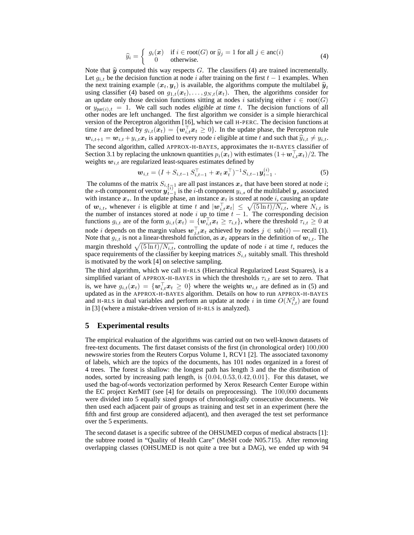$$
\widehat{y}_i = \begin{cases} g_i(\boldsymbol{x}) & \text{if } i \in \text{root}(G) \text{ or } \widehat{y}_j = 1 \text{ for all } j \in \text{anc}(i) \\ 0 & \text{otherwise.} \end{cases}
$$
(4)

Note that  $\hat{y}$  computed this way respects  $G$ . The classifiers (4) are trained incrementally. Let  $g_{i,t}$  be the decision function at node i after training on the first  $t - 1$  examples. When the next training example  $(x_t, y_t)$  is available, the algorithms compute the multilabel  $\hat{y}_t$ using classifier (4) based on  $g_{1,t}(\mathbf{x}_t), \ldots, g_{N,t}(\mathbf{x}_t)$ . Then, the algorithms consider for an update only those decision functions sitting at nodes i satisfying either  $i \in root(G)$ or  $y_{par(i),t} = 1$ . We call such nodes eligible at time t. The decision functions of all other nodes are left unchanged. The first algorithm we consider is a simple hierarchical version of the Perceptron algorithm [16], which we call H-PERC. The decision functions at time t are defined by  $g_{i,t}(\mathbf{x}_t) = \{\mathbf{w}_{i,t}^{\top} \mathbf{x}_t \ge 0\}$ . In the update phase, the Perceptron rule  $w_{i,t+1} = w_{i,t} + y_{i,t}x_t$  is applied to every node *i* eligible at time t and such that  $\hat{y}_{i,t} \neq y_{i,t}$ . The second algorithm, called APPROX-H-BAYES, approximates the H-BAYES classifier of Section 3.1 by replacing the unknown quantities  $p_i(\vec{x_t})$  with estimates  $(1+\vec{w}_{i,t}^\top \vec{x_t})/2$ . The weights  $w_{i,t}$  are regularized least-squares estimates defined by

$$
\mathbf{w}_{i,t} = (I + S_{i,t-1} S_{i,t-1}^\top + \mathbf{x}_t \mathbf{x}_t^\top)^{-1} S_{i,t-1} \mathbf{y}_{t-1}^{(i)} . \tag{5}
$$

The columns of the matrix  $S_{i,t,\overline{x}1}$  are all past instances  $x_s$  that have been stored at node i; the s-th component of vector  $y_{t-1}^{i,j}$  is the *i*-th component  $y_{i,s}$  of the multilabel  $y_s$  associated with instance  $x_s$ . In the update phase, an instance  $x_t$  is stored at node i, causing an update of  $w_{i,t}$ , whenever i is eligible at time t and  $|w_{i,t}^{\top}x_t| \leq \sqrt{(5\ln t)/N_{i,t}}$ , where  $N_{i,t}$  is the number of instances stored at node i up to time  $t - 1$ . The corresponding decision functions  $g_{i,t}$  are of the form  $g_{i,t}(\boldsymbol{x}_t) = \{\boldsymbol{w}_{i,t}^{\top} \boldsymbol{x}_t \geq \tau_{i,t}\}$ , where the threshold  $\tau_{i,t} \geq 0$  at node *i* depends on the margin values  $w_{j,t}^{\top} x_t$  achieved by nodes  $j \in \text{sub}(i)$  — recall (1). Note that  $g_{i,t}$  is not a linear-threshold function, as  $x_t$  appears in the definition of  $w_{i,t}$ . The margin threshold  $\sqrt{(5 \ln t)/N_{i,t}}$ , controlling the update of node i at time t, reduces the space requirements of the classifier by keeping matrices  $S_{i,t}$  suitably small. This threshold is motivated by the work [4] on selective sampling.

The third algorithm, which we call H-RLS (Hierarchical Regularized Least Squares), is a simplified variant of APPROX-H-BAYES in which the thresholds  $\tau_{i,t}$  are set to zero. That is, we have  $g_{i,t}(x_t) = \{w_{i,t}^{\top} x_t \geq 0\}$  where the weights  $w_{i,t}$  are defined as in (5) and updated as in the APPROX-H-BAYES algorithm. Details on how to run APPROX-H-BAYES and H-RLS in dual variables and perform an update at node i in time  $O(N_{i,t}^2)$  are found in [3] (where a mistake-driven version of H-RLS is analyzed).

# **5 Experimental results**

The empirical evaluation of the algorithms was carried out on two well-known datasets of free-text documents. The first dataset consists of the first (in chronological order) 100,000 newswire stories from the Reuters Corpus Volume 1, RCV1 [2]. The associated taxonomy of labels, which are the topics of the documents, has 101 nodes organized in a forest of 4 trees. The forest is shallow: the longest path has length 3 and the the distribution of nodes, sorted by increasing path length, is  $\{0.04, 0.53, 0.42, 0.01\}$ . For this dataset, we used the bag-of-words vectorization performed by Xerox Research Center Europe within the EC project KerMIT (see [4] for details on preprocessing). The 100,000 documents were divided into 5 equally sized groups of chronologically consecutive documents. We then used each adjacent pair of groups as training and test set in an experiment (here the fifth and first group are considered adjacent), and then averaged the test set performance over the 5 experiments.

The second dataset is a specific subtree of the OHSUMED corpus of medical abstracts [1]: the subtree rooted in "Quality of Health Care" (MeSH code N05.715). After removing overlapping classes (OHSUMED is not quite a tree but a DAG), we ended up with 94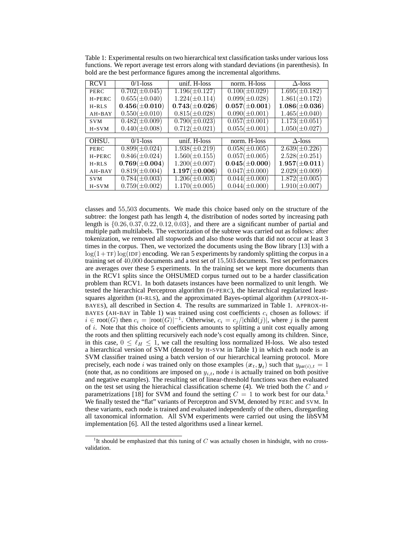| RCV <sub>1</sub> | $0/1$ -loss        | unif. H-loss       | norm. H-loss       | $\Delta$ -loss                |
|------------------|--------------------|--------------------|--------------------|-------------------------------|
| PERC             | $0.702(\pm 0.045)$ | $1.196(\pm 0.127)$ | $0.100(\pm 0.029)$ | $1.695(\pm 0.182)$            |
| H-PERC           | $0.655(\pm 0.040)$ | $1.224(\pm 0.114)$ | $0.099(\pm 0.028)$ | $1.861(\pm 0.172)$            |
| $H-RLS$          | $0.456(\pm 0.010)$ | $0.743(\pm 0.026)$ | $0.057(\pm 0.001)$ | $1.086(\pm 0.036)$            |
| AH-BAY           | $0.550(\pm 0.010)$ | $0.815(\pm 0.028)$ | $0.090(\pm 0.001)$ | $1.465(\pm 0.040)$            |
| <b>SVM</b>       | $0.482(\pm 0.009)$ | $0.790(\pm 0.023)$ | $0.057(\pm 0.001)$ | $\overline{1.173(\pm 0.051)}$ |
| $H-SVM$          | $0.440(\pm 0.008)$ | $0.712(\pm 0.021)$ | $0.055(\pm 0.001)$ | $1.050(\pm 0.027)$            |
|                  |                    |                    |                    |                               |
| OHSU.            | $0/1$ -loss        | unif. H-loss       | norm. H-loss       | $\Delta$ -loss                |
| PERC             | $0.899(\pm 0.024)$ | $1.938(\pm 0.219)$ | $0.058(\pm 0.005)$ | $2.639(\pm 0.226)$            |
| H-PERC           | $0.846(\pm 0.024)$ | $1.560(\pm 0.155)$ | $0.057(\pm 0.005)$ | $2.528(\pm 0.251)$            |
| $H-RI.S$         | $0.769(\pm 0.004)$ | $1.200(\pm 0.007)$ | $0.045(\pm 0.000)$ | $1.957(\pm 0.011)$            |
| $AH-BAY$         | $0.819(\pm 0.004)$ | $1.197(\pm 0.006)$ | $0.047(\pm 0.000)$ | $2.029(\pm 0.009)$            |
| <b>SVM</b>       | $0.784(\pm 0.003)$ | $1.206(\pm 0.003)$ | $0.044(\pm 0.000)$ | $1.872(\pm 0.005)$            |
| $H-SVM$          | $0.759(\pm 0.002)$ | $1.170(\pm 0.005)$ | $0.044(\pm 0.000)$ | $1.910(\pm 0.007)$            |

Table 1: Experimental results on two hierarchical text classification tasks under various loss functions. We report average test errors along with standard deviations (in parenthesis). In bold are the best performance figures among the incremental algorithms.

classes and 55,503 documents. We made this choice based only on the structure of the subtree: the longest path has length 4, the distribution of nodes sorted by increasing path length is  $\{0.26, 0.37, 0.22, 0.12, 0.03\}$ , and there are a significant number of partial and multiple path multilabels. The vectorization of the subtree was carried out as follows: after tokenization, we removed all stopwords and also those words that did not occur at least 3 times in the corpus. Then, we vectorized the documents using the Bow library [13] with a  $log(1+TF) log (IDF) encoding.$  We ran 5 experiments by randomly splitting the corpus in a training set of 40,000 documents and a test set of 15,503 documents. Test set performances are averages over these 5 experiments. In the training set we kept more documents than in the RCV1 splits since the OHSUMED corpus turned out to be a harder classification problem than RCV1. In both datasets instances have been normalized to unit length. We tested the hierarchical Perceptron algorithm (H-PERC), the hierarchical regularized leastsquares algorithm (H-RLS), and the approximated Bayes-optimal algorithm (APPROX-H-BAYES), all described in Section 4. The results are summarized in Table 1. APPROX-H-BAYES (AH-BAY in Table 1) was trained using cost coefficients  $c_i$  chosen as follows: if  $i \in \text{root}(G)$  then  $c_i = |\text{root}(G)|^{-1}$ . Otherwise,  $c_i = c_j/|\text{child}(j)|$ , where j is the parent of i. Note that this choice of coefficients amounts to splitting a unit cost equally among the roots and then splitting recursively each node's cost equally among its children. Since, in this case,  $0 \leq \ell_H \leq 1$ , we call the resulting loss normalized H-loss. We also tested a hierarchical version of SVM (denoted by H-SVM in Table 1) in which each node is an SVM classifier trained using a batch version of our hierarchical learning protocol. More precisely, each node i was trained only on those examples  $(x_t, y_t)$  such that  $y_{\text{par}(i),t} = 1$ (note that, as no conditions are imposed on  $y_{i,t}$ , node i is actually trained on both positive and negative examples). The resulting set of linear-threshold functions was then evaluated on the test set using the hierachical classification scheme (4). We tried both the C and  $\nu$ parametrizations [18] for SVM and found the setting  $C = 1$  to work best for our data.<sup>1</sup> We finally tested the "flat" variants of Perceptron and SVM, denoted by PERC and SVM. In these variants, each node is trained and evaluated independently of the others, disregarding all taxonomical information. All SVM experiments were carried out using the libSVM implementation [6]. All the tested algorithms used a linear kernel.

<sup>&</sup>lt;sup>1</sup>It should be emphasized that this tuning of  $C$  was actually chosen in hindsight, with no crossvalidation.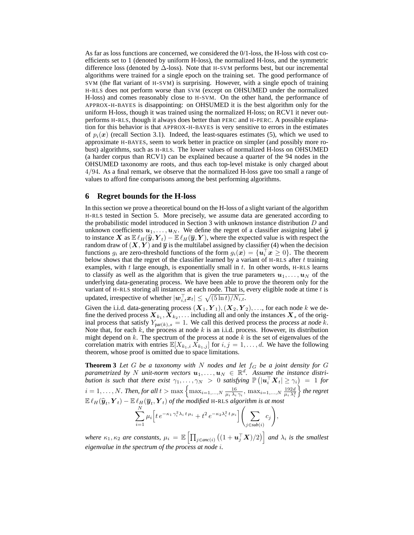As far as loss functions are concerned, we considered the 0/1-loss, the H-loss with cost coefficients set to 1 (denoted by uniform H-loss), the normalized H-loss, and the symmetric difference loss (denoted by  $\Delta$ -loss). Note that H-SVM performs best, but our incremental algorithms were trained for a single epoch on the training set. The good performance of SVM (the flat variant of H-SVM) is surprising. However, with a single epoch of training H-RLS does not perform worse than SVM (except on OHSUMED under the normalized H-loss) and comes reasonably close to H-SVM. On the other hand, the performance of APPROX-H-BAYES is disappointing: on OHSUMED it is the best algorithm only for the uniform H-loss, though it was trained using the normalized H-loss; on RCV1 it never outperforms H-RLS, though it always does better than PERC and H-PERC. A possible explanation for this behavior is that APPROX-H-BAYES is very sensitive to errors in the estimates of  $p_i(x)$  (recall Section 3.1). Indeed, the least-squares estimates (5), which we used to approximate H-BAYES, seem to work better in practice on simpler (and possibly more robust) algorithms, such as H-RLS. The lower values of normalized H-loss on OHSUMED (a harder corpus than RCV1) can be explained because a quarter of the 94 nodes in the OHSUMED taxonomy are roots, and thus each top-level mistake is only charged about 4/94. As a final remark, we observe that the normalized H-loss gave too small a range of values to afford fine comparisons among the best performing algorithms.

#### **6 Regret bounds for the H-loss**

In this section we prove a theoretical bound on the H-loss of a slight variant of the algorithm H-RLS tested in Section 5. More precisely, we assume data are generated according to the probabilistic model introduced in Section 3 with unknown instance distribution  $D$  and unknown coefficients  $u_1, \ldots, u_N$ . We define the regret of a classifier assigning label  $\hat{y}$ to instance X as  $E\ell_H(\hat{\bm{y}},\bm{Y}_t) - E\ell_H(\bm{\overline{y}},\bm{Y})$ , where the expected value is with respect the random draw of  $(X, Y)$  and  $\overline{y}$  is the multilabel assigned by classifier (4) when the decision functions  $g_i$  are zero-threshold functions of the form  $g_i(\boldsymbol{x}) = \{\boldsymbol{u}_i^\top \boldsymbol{x} \geq 0\}$ . The theorem below shows that the regret of the classifier learned by a variant of H-RLS after  $t$  training examples, with  $t$  large enough, is exponentially small in  $t$ . In other words, H-RLS learns to classify as well as the algorithm that is given the true parameters  $u_1, \ldots, u_N$  of the underlying data-generating process. We have been able to prove the theorem only for the variant of H-RLS storing all instances at each node. That is, every eligible node at time  $t$  is updated, irrespective of whether  $|\boldsymbol{w}_{i,t}^{\top}\boldsymbol{x}_t| \leq \sqrt{(5\ln t)/N_{i,t}}$ .

Given the i.i.d. data-generating process  $(X_1, Y_1), (X_2, Y_2), \ldots$ , for each node k we define the derived process  $\bm{X}_{k_1},\bm{X}_{k_2},\ldots$  including all and only the instances  $\bm{X}_s$  of the original process that satisfy  $Y_{\text{par}(k),s} = 1$ . We call this derived process the process at node k. Note that, for each  $k$ , the process at node  $k$  is an i.i.d. process. However, its distribution might depend on  $k$ . The spectrum of the process at node  $k$  is the set of eigenvalues of the correlation matrix with entries  $\mathbb{E}[X_{k_1,i} \, \bar{X}_{k_1,j}]$  for  $i, j = 1, \ldots, d$ . We have the following theorem, whose proof is omitted due to space limitations.

**Theorem 3** Let G be a taxonomy with N nodes and let  $f_G$  be a joint density for G  $\varphi$  parametrized by N unit-norm vectors  $u_1, \ldots, u_N \in \mathbb{R}^d$ . Assume the instance distri*bution is such that there exist*  $\gamma_1,\ldots,\gamma_N > 0$  *satisfying*  $\mathbb{P}(|u_i^{\top}X_t| \geq \gamma_i) = 1$  *for*  $i = 1, ..., N$ . Then, for all  $t > \max\left\{\max_{i=1,...,N} \frac{16}{\mu_i \lambda_i \gamma_i}, \max_{i=1,...,N} \frac{192d}{\mu_i \lambda_i^2}\right\}$ o *the regret*  $\mathbb{E}\ell_H(\widehat{\bm{y}}_t, \bm{Y}_t) - \mathbb{E}\ell_H(\overline{\bm{y}}_t, \bm{Y}_t)$  of the modified H-RLS algorithm is at most

$$
\sum_{i=1}^{N} \mu_i \Big[ t e^{-\kappa_1 \gamma_i^2 \lambda_i t \mu_i} + t^2 e^{-\kappa_2 \lambda_i^2 t \mu_i} \Big] \Bigg( \sum_{j \in sub(i)} c_j \Bigg),
$$

where  $\kappa_1, \kappa_2$  are constants,  $\mu_i = \mathbb{E}\left[\prod_{j\in anc(i)} \left((1 + \bm{u}_j^\top \bm{X})/2\right)\right]$  and  $\lambda_i$  is the smallest *eigenvalue in the spectrum of the process at node* i*.*